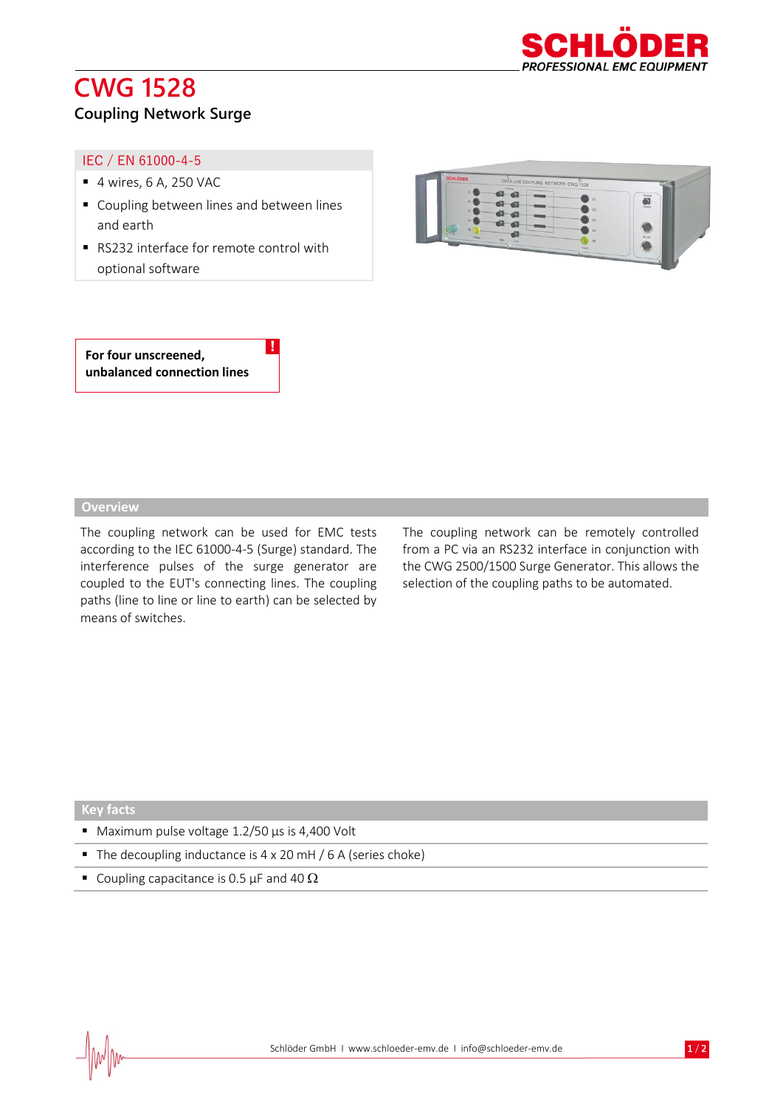# **CWG 1528**



## **Coupling Network Surge**

#### IEC / EN 61000-4-5

- $\blacksquare$  4 wires, 6 A, 250 VAC
- Coupling between lines and between lines and earth
- RS232 interface for remote control with optional software

!



**For four unscreened, unbalanced connection lines**

#### **Overview**

The coupling network can be used for EMC tests according to the IEC 61000-4-5 (Surge) standard. The interference pulses of the surge generator are coupled to the EUT's connecting lines. The coupling paths (line to line or line to earth) can be selected by means of switches.

The coupling network can be remotely controlled from a PC via an RS232 interface in conjunction with the CWG 2500/1500 Surge Generator. This allows the selection of the coupling paths to be automated.

#### **Key facts**

- Maximum pulse voltage 1.2/50 µs is 4,400 Volt
- The decoupling inductance is 4 x 20 mH / 6 A (series choke)
- **•** Coupling capacitance is 0.5  $\mu$ F and 40  $\Omega$